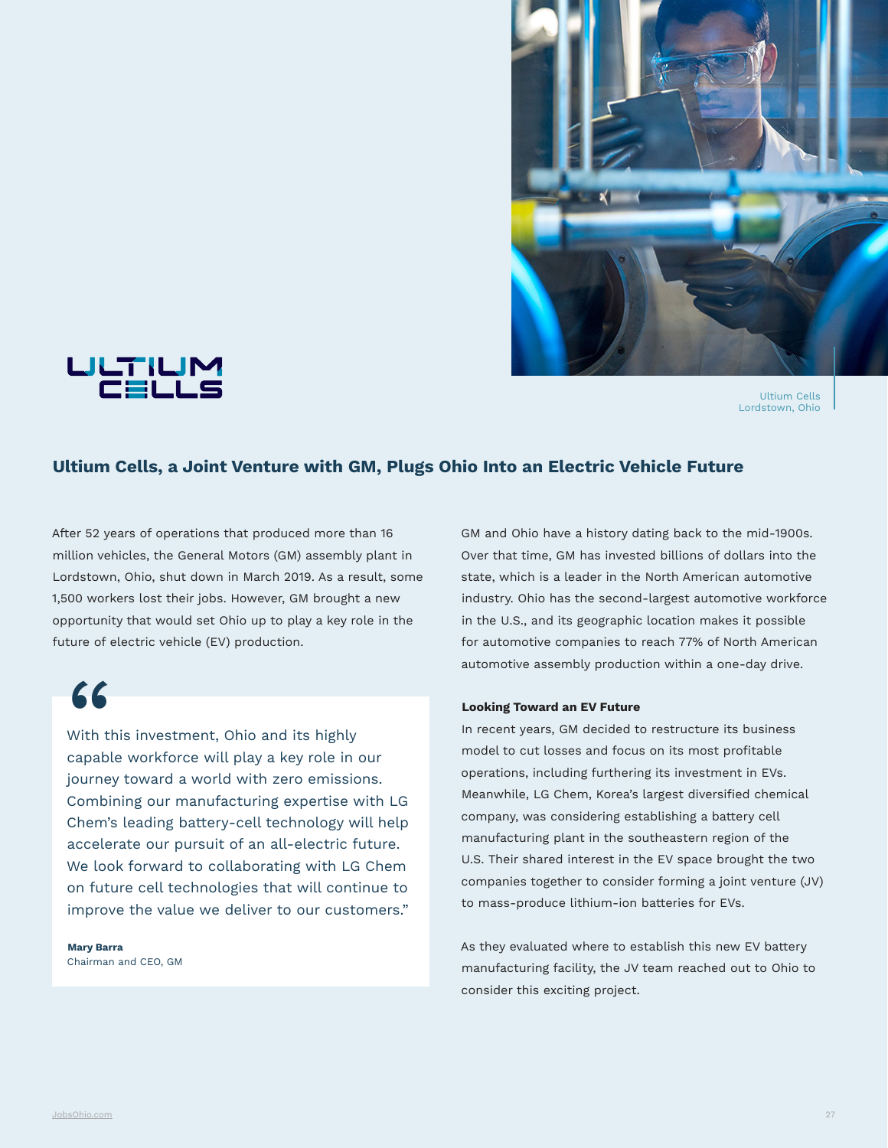





## **Ultium Cells, a Joint Venture with GM, Plugs Ohio Into an Electric Vehicle Future**

After 52 years of operations that produced more than 16 million vehicles, the General Motors (GM) assembly plant in Lordstown, Ohio, shut down in March 2019. As a result, some 1,500 workers lost their jobs. However, GM brought a new opportunity that would set Ohio up to play a key role in the future of electric vehicle (EV) production.

"

With this investment, Ohio and its highly capable workforce will play a key role in our journey toward a world with zero emissions. Combining our manufacturing expertise with LG Chem's leading battery-cell technology will help accelerate our pursuit of an all-electric future. We look forward to collaborating with LG Chem on future cell technologies that will continue to improve the value we deliver to our customers."

**Mary Barra** Chairman and CEO, GM GM and Ohio have a history dating back to the mid-1900s. Over that time, GM has invested billions of dollars into the state, which is a leader in the North American automotive industry. Ohio has the second-largest automotive workforce in the U.S., and its geographic location makes it possible for automotive companies to reach 77% of North American automotive assembly production within a one-day drive.

## **Looking Toward an EV Future**

In recent years, GM decided to restructure its business model to cut losses and focus on its most profitable operations, including furthering its investment in EVs. Meanwhile, LG Chem, Korea's largest diversified chemical company, was considering establishing a battery cell manufacturing plant in the southeastern region of the U.S. Their shared interest in the EV space brought the two companies together to consider forming a joint venture (JV) to mass-produce lithium-ion batteries for EVs.

As they evaluated where to establish this new EV battery manufacturing facility, the JV team reached out to Ohio to consider this exciting project.